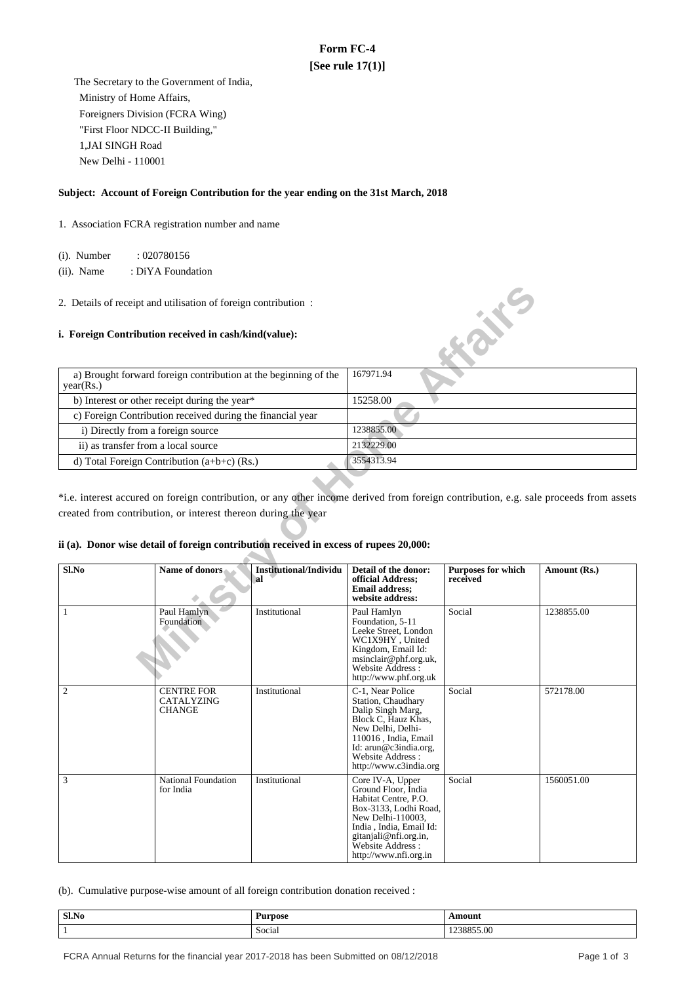# **Form FC-4 [See rule 17(1)]**

 The Secretary to the Government of India, Ministry of Home Affairs, Foreigners Division (FCRA Wing) "First Floor NDCC-II Building," 1,JAI SINGH Road New Delhi - 110001

## **Subject: Account of Foreign Contribution for the year ending on the 31st March, 2018**

1. Association FCRA registration number and name

(i). Number : 020780156

 (ii). Name : DiYA Foundation

### **i. Foreign Contribution received in cash/kind(value):**

| a) Brought forward foreign contribution at the beginning of the<br>year(Rs.) | 167971.94  |
|------------------------------------------------------------------------------|------------|
| b) Interest or other receipt during the year*                                | 15258.00   |
| c) Foreign Contribution received during the financial year                   |            |
| i) Directly from a foreign source                                            | 1238855.00 |
| ii) as transfer from a local source                                          | 2132229.00 |
| d) Total Foreign Contribution $(a+b+c)$ (Rs.)                                | 3554313.94 |

## **ii (a). Donor wise detail of foreign contribution received in excess of rupees 20,000:**

| 2. Details of receipt and utilisation of foreign contribution :<br>$\mathbf{X}$<br>i. Foreign Contribution received in cash/kind(value):                 |                                                            |                                     |                                                                                                                                                                                                                 |                                |              |  |
|----------------------------------------------------------------------------------------------------------------------------------------------------------|------------------------------------------------------------|-------------------------------------|-----------------------------------------------------------------------------------------------------------------------------------------------------------------------------------------------------------------|--------------------------------|--------------|--|
| a) Brought forward foreign contribution at the beginning of the<br>year(Rs.)                                                                             |                                                            |                                     | 167971.94                                                                                                                                                                                                       |                                |              |  |
|                                                                                                                                                          | b) Interest or other receipt during the year*              |                                     | 15258.00                                                                                                                                                                                                        |                                |              |  |
|                                                                                                                                                          | c) Foreign Contribution received during the financial year |                                     |                                                                                                                                                                                                                 |                                |              |  |
| i) Directly from a foreign source                                                                                                                        |                                                            |                                     | 1238855.00                                                                                                                                                                                                      |                                |              |  |
| ii) as transfer from a local source                                                                                                                      |                                                            |                                     | 2132229.00                                                                                                                                                                                                      |                                |              |  |
|                                                                                                                                                          | d) Total Foreign Contribution (a+b+c) (Rs.)                |                                     | 3554313.94                                                                                                                                                                                                      |                                |              |  |
| created from contribution, or interest thereon during the year<br>ii (a). Donor wise detail of foreign contribution received in excess of rupees 20,000: |                                                            |                                     |                                                                                                                                                                                                                 |                                |              |  |
| Sl.No                                                                                                                                                    | Name of donors                                             | <b>Institutional/Individu</b><br>al | Detail of the donor:<br>official Address;<br><b>Email address:</b><br>website address:                                                                                                                          | Purposes for which<br>received | Amount (Rs.) |  |
| $\mathbf{1}$                                                                                                                                             | Paul Hamlyn<br>Foundation                                  | Institutional                       | Paul Hamlyn<br>Foundation, 5-11<br>Leeke Street, London<br>WC1X9HY, United<br>Kingdom, Email Id:<br>msinclair@phf.org.uk,<br>Website Address:<br>http://www.phf.org.uk                                          | Social                         | 1238855.00   |  |
| $\overline{c}$                                                                                                                                           | <b>CENTRE FOR</b><br>CATALYZING<br><b>CHANGE</b>           | Institutional                       | C-1, Near Police<br>Station, Chaudhary<br>Dalip Singh Marg,<br>Block C. Hauz Khas.<br>New Delhi, Delhi-<br>110016, India, Email<br>Id: arun@c3india.org,<br>Website Address:<br>http://www.c3india.org          | Social                         | 572178.00    |  |
| 3                                                                                                                                                        | National Foundation<br>for India                           | Institutional                       | Core IV-A, Upper<br>Ground Floor, India<br>Habitat Centre, P.O.<br>Box-3133, Lodhi Road,<br>New Delhi-110003,<br>India, India, Email Id:<br>gitanjali@nfi.org.in,<br>Website Address :<br>http://www.nfi.org.in | Social                         | 1560051.00   |  |

(b). Cumulative purpose-wise amount of all foreign contribution donation received :

| Sl.No  | <b>Purpose</b> | <b>MAQUES</b> |
|--------|----------------|---------------|
| $   -$ |                | $\cdots$      |
|        | Social         | `<br>.<br>^^^ |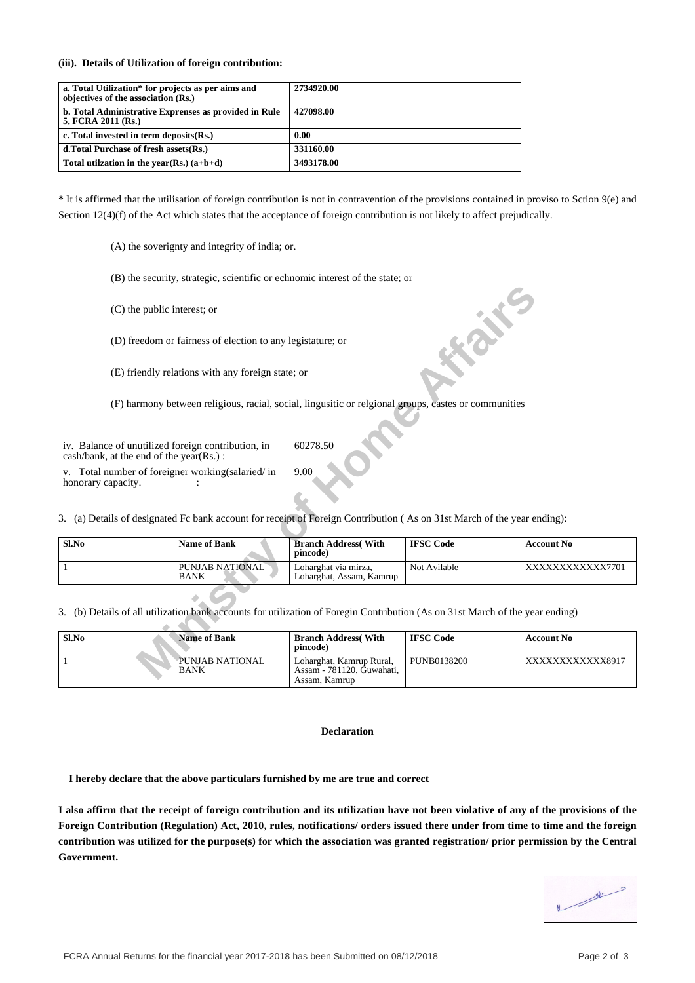**(iii). Details of Utilization of foreign contribution:**

| a. Total Utilization* for projects as per aims and<br>objectives of the association (Rs.) | 2734920.00 |
|-------------------------------------------------------------------------------------------|------------|
| b. Total Administrative Exprenses as provided in Rule<br>5, FCRA 2011 (Rs.)               | 427098.00  |
| c. Total invested in term deposits (Rs.)                                                  | 0.00       |
| d. Total Purchase of fresh assets (Rs.)                                                   | 331160.00  |
| Total utilization in the vear(Rs.) $(a+b+d)$                                              | 3493178.00 |

\* It is affirmed that the utilisation of foreign contribution is not in contravention of the provisions contained in proviso to Sction 9(e) and Section 12(4)(f) of the Act which states that the acceptance of foreign contribution is not likely to affect prejudically.

(A) the soverignty and integrity of india; or.

(B) the security, strategic, scientific or echnomic interest of the state; or

| Sl.No | Name of Bank                   | <b>Branch Address</b> (With<br>pincode)          | <b>IFSC Code</b> | <b>Account No</b> |
|-------|--------------------------------|--------------------------------------------------|------------------|-------------------|
|       | PUNJAB NATIONAL<br><b>BANK</b> | Loharghat via mirza.<br>Loharghat, Assam, Kamrup | Not Avilable     | XXXXXXXXXXX7701   |

| (C) the public interest; or                                                                                                                                              |                                                            |                                                                                                                                             | <b>1.25°</b>     |                   |
|--------------------------------------------------------------------------------------------------------------------------------------------------------------------------|------------------------------------------------------------|---------------------------------------------------------------------------------------------------------------------------------------------|------------------|-------------------|
|                                                                                                                                                                          | (D) freedom or fairness of election to any legistature; or |                                                                                                                                             |                  |                   |
|                                                                                                                                                                          | (E) friendly relations with any foreign state; or          |                                                                                                                                             |                  |                   |
|                                                                                                                                                                          |                                                            | (F) harmony between religious, racial, social, lingusitic or relgional groups, castes or communities                                        |                  |                   |
| iv. Balance of unutilized foreign contribution, in<br>cash/bank, at the end of the year(Rs.):<br>v. Total number of foreigner working (salaried/in<br>honorary capacity. |                                                            | 60278.50<br>9.00<br>3. (a) Details of designated Fc bank account for receipt of Foreign Contribution (As on 31st March of the year ending): |                  |                   |
| Sl.No                                                                                                                                                                    | <b>Name of Bank</b>                                        | <b>Branch Address</b> (With<br>pincode)                                                                                                     | <b>IFSC Code</b> | <b>Account No</b> |
| 1                                                                                                                                                                        | PUNJAB NATIONAL<br><b>BANK</b>                             | Loharghat via mirza,<br>Loharghat, Assam, Kamrup                                                                                            | Not Avilable     | XXXXXXXXXXX7701   |
| 3. (b) Details of all utilization bank accounts for utilization of Foregin Contribution (As on 31st March of the year ending)                                            |                                                            |                                                                                                                                             |                  |                   |
| Sl.No                                                                                                                                                                    | <b>Name of Bank</b>                                        | <b>Branch Address</b> (With<br>pincode)                                                                                                     | <b>IFSC Code</b> | <b>Account No</b> |
| $\mathbf{1}$                                                                                                                                                             | PUNJAB NATIONAL<br><b>BANK</b>                             | Loharghat, Kamrup Rural,<br>Assam - 781120, Guwahati,<br>Assam, Kamrup                                                                      | PUNB0138200      | XXXXXXXXXXX8917   |

#### **Declaration**

 **I hereby declare that the above particulars furnished by me are true and correct**

**I also affirm that the receipt of foreign contribution and its utilization have not been violative of any of the provisions of the Foreign Contribution (Regulation) Act, 2010, rules, notifications/ orders issued there under from time to time and the foreign contribution was utilized for the purpose(s) for which the association was granted registration/ prior permission by the Central Government.**

 $\frac{d}{dt}$